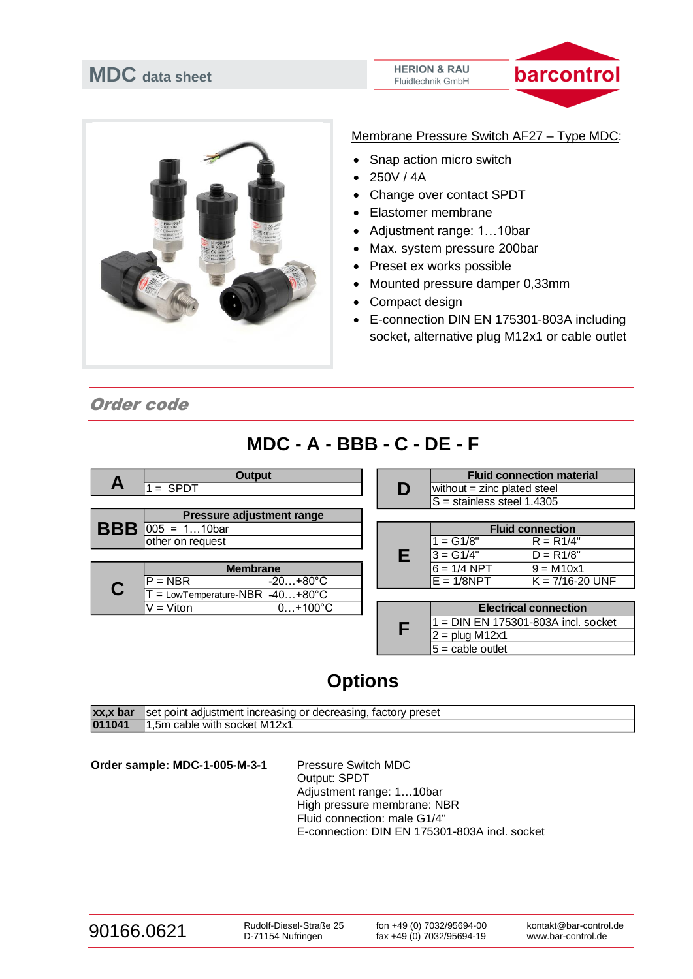# **MDC data sheet**

#### **HERION & RAU** Fluidtechnik GmbH





Membrane Pressure Switch AF27 – Type MDC:

- Snap action micro switch
- 250V / 4A
- Change over contact SPDT
- Elastomer membrane
- Adjustment range: 1…10bar
- Max. system pressure 200bar
- Preset ex works possible
- Mounted pressure damper 0,33mm
- Compact design
- E-connection DIN EN 175301-803A including socket, alternative plug M12x1 or cable outlet

Order code

## **MDC - A - BBB - C - DE - F**



## **Options**

| xx,x bar | liset point adiustment increasing or decreasing, factory preset |
|----------|-----------------------------------------------------------------|
| 011041   | 11.5m cable with socket M12x1                                   |

Order sample: MDC-1-005-M-3-1 Pressure Switch MDC

Output: SPDT Adjustment range: 1…10bar High pressure membrane: NBR Fluid connection: male G1/4" E-connection: DIN EN 175301-803A incl. socket